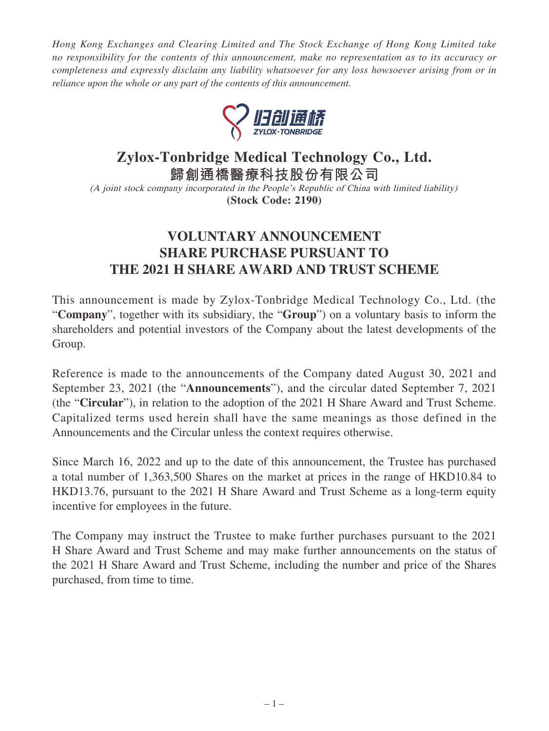*Hong Kong Exchanges and Clearing Limited and The Stock Exchange of Hong Kong Limited take no responsibility for the contents of this announcement, make no representation as to its accuracy or completeness and expressly disclaim any liability whatsoever for any loss howsoever arising from or in reliance upon the whole or any part of the contents of this announcement.*



## **Zylox-Tonbridge Medical Technology Co., Ltd.**

**歸創通橋醫療科技股份有限公司**

(A joint stock company incorporated in the People's Republic of China with limited liability) **(Stock Code: 2190)**

## **VOLUNTARY ANNOUNCEMENT SHARE PURCHASE PURSUANT TO THE 2021 H SHARE AWARD AND TRUST SCHEME**

This announcement is made by Zylox-Tonbridge Medical Technology Co., Ltd. (the "**Company**", together with its subsidiary, the "**Group**") on a voluntary basis to inform the shareholders and potential investors of the Company about the latest developments of the Group.

Reference is made to the announcements of the Company dated August 30, 2021 and September 23, 2021 (the "**Announcements**"), and the circular dated September 7, 2021 (the "**Circular**"), in relation to the adoption of the 2021 H Share Award and Trust Scheme. Capitalized terms used herein shall have the same meanings as those defined in the Announcements and the Circular unless the context requires otherwise.

Since March 16, 2022 and up to the date of this announcement, the Trustee has purchased a total number of 1,363,500 Shares on the market at prices in the range of HKD10.84 to HKD13.76, pursuant to the 2021 H Share Award and Trust Scheme as a long-term equity incentive for employees in the future.

The Company may instruct the Trustee to make further purchases pursuant to the 2021 H Share Award and Trust Scheme and may make further announcements on the status of the 2021 H Share Award and Trust Scheme, including the number and price of the Shares purchased, from time to time.